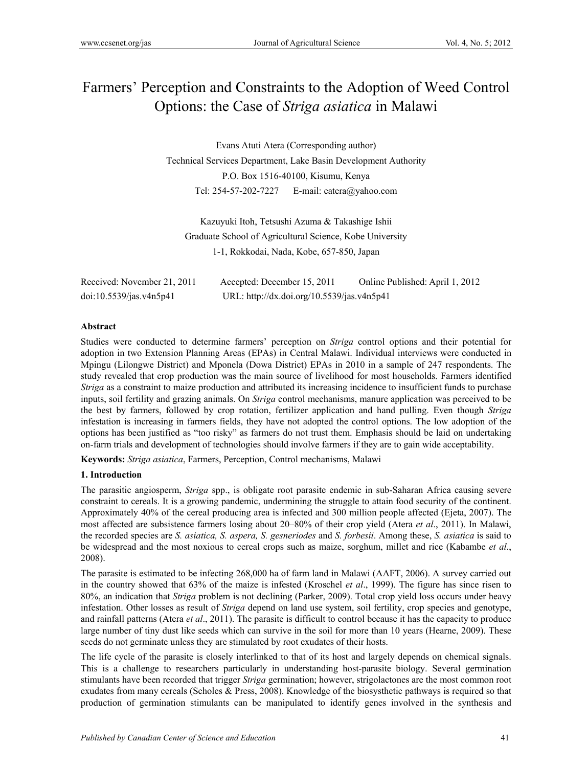# Farmers' Perception and Constraints to the Adoption of Weed Control Options: the Case of *Striga asiatica* in Malawi

Evans Atuti Atera (Corresponding author) Technical Services Department, Lake Basin Development Authority P.O. Box 1516-40100, Kisumu, Kenya Tel: 254-57-202-7227 E-mail: eatera@yahoo.com

Kazuyuki Itoh, Tetsushi Azuma & Takashige Ishii Graduate School of Agricultural Science, Kobe University 1-1, Rokkodai, Nada, Kobe, 657-850, Japan

| Received: November 21, 2011 | Accepted: December 15, 2011                | Online Published: April 1, 2012 |
|-----------------------------|--------------------------------------------|---------------------------------|
| doi:10.5539/jas.v4n5p41     | URL: http://dx.doi.org/10.5539/jas.v4n5p41 |                                 |

# **Abstract**

Studies were conducted to determine farmers' perception on *Striga* control options and their potential for adoption in two Extension Planning Areas (EPAs) in Central Malawi. Individual interviews were conducted in Mpingu (Lilongwe District) and Mponela (Dowa District) EPAs in 2010 in a sample of 247 respondents. The study revealed that crop production was the main source of livelihood for most households. Farmers identified *Striga* as a constraint to maize production and attributed its increasing incidence to insufficient funds to purchase inputs, soil fertility and grazing animals. On *Striga* control mechanisms, manure application was perceived to be the best by farmers, followed by crop rotation, fertilizer application and hand pulling. Even though *Striga* infestation is increasing in farmers fields, they have not adopted the control options. The low adoption of the options has been justified as "too risky" as farmers do not trust them. Emphasis should be laid on undertaking on-farm trials and development of technologies should involve farmers if they are to gain wide acceptability.

**Keywords:** *Striga asiatica*, Farmers, Perception, Control mechanisms, Malawi

## **1. Introduction**

The parasitic angiosperm, *Striga* spp., is obligate root parasite endemic in sub-Saharan Africa causing severe constraint to cereals. It is a growing pandemic, undermining the struggle to attain food security of the continent. Approximately 40% of the cereal producing area is infected and 300 million people affected (Ejeta, 2007). The most affected are subsistence farmers losing about 20–80% of their crop yield (Atera *et al*., 2011). In Malawi, the recorded species are *S. asiatica, S. aspera, S. gesneriodes* and *S. forbesii*. Among these, *S. asiatica* is said to be widespread and the most noxious to cereal crops such as maize, sorghum, millet and rice (Kabambe *et al*., 2008).

The parasite is estimated to be infecting 268,000 ha of farm land in Malawi (AAFT, 2006). A survey carried out in the country showed that 63% of the maize is infested (Kroschel *et al*., 1999). The figure has since risen to 80%, an indication that *Striga* problem is not declining (Parker, 2009). Total crop yield loss occurs under heavy infestation. Other losses as result of *Striga* depend on land use system, soil fertility, crop species and genotype, and rainfall patterns (Atera *et al*., 2011). The parasite is difficult to control because it has the capacity to produce large number of tiny dust like seeds which can survive in the soil for more than 10 years (Hearne, 2009). These seeds do not germinate unless they are stimulated by root exudates of their hosts.

The life cycle of the parasite is closely interlinked to that of its host and largely depends on chemical signals. This is a challenge to researchers particularly in understanding host-parasite biology. Several germination stimulants have been recorded that trigger *Striga* germination; however, strigolactones are the most common root exudates from many cereals (Scholes & Press, 2008). Knowledge of the biosysthetic pathways is required so that production of germination stimulants can be manipulated to identify genes involved in the synthesis and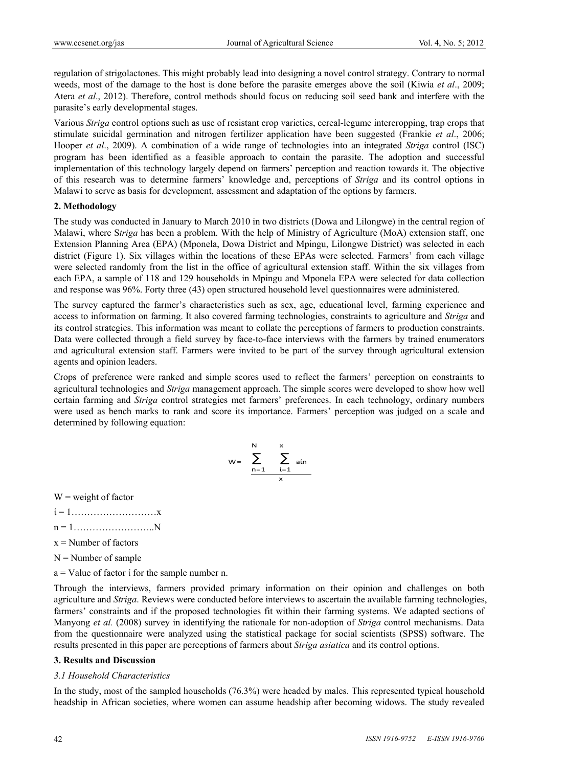regulation of strigolactones. This might probably lead into designing a novel control strategy. Contrary to normal weeds, most of the damage to the host is done before the parasite emerges above the soil (Kiwia *et al*., 2009; Atera *et al*., 2012). Therefore, control methods should focus on reducing soil seed bank and interfere with the parasite's early developmental stages.

Various *Striga* control options such as use of resistant crop varieties, cereal-legume intercropping, trap crops that stimulate suicidal germination and nitrogen fertilizer application have been suggested (Frankie *et al*., 2006; Hooper *et al*., 2009). A combination of a wide range of technologies into an integrated *Striga* control (ISC) program has been identified as a feasible approach to contain the parasite. The adoption and successful implementation of this technology largely depend on farmers' perception and reaction towards it. The objective of this research was to determine farmers' knowledge and, perceptions of *Striga* and its control options in Malawi to serve as basis for development, assessment and adaptation of the options by farmers.

## **2. Methodology**

The study was conducted in January to March 2010 in two districts (Dowa and Lilongwe) in the central region of Malawi, where S*triga* has been a problem. With the help of Ministry of Agriculture (MoA) extension staff, one Extension Planning Area (EPA) (Mponela, Dowa District and Mpingu, Lilongwe District) was selected in each district (Figure 1). Six villages within the locations of these EPAs were selected. Farmers' from each village were selected randomly from the list in the office of agricultural extension staff. Within the six villages from each EPA, a sample of 118 and 129 households in Mpingu and Mponela EPA were selected for data collection and response was 96%. Forty three (43) open structured household level questionnaires were administered.

The survey captured the farmer's characteristics such as sex, age, educational level, farming experience and access to information on farming. It also covered farming technologies, constraints to agriculture and *Striga* and its control strategies. This information was meant to collate the perceptions of farmers to production constraints. Data were collected through a field survey by face-to-face interviews with the farmers by trained enumerators and agricultural extension staff. Farmers were invited to be part of the survey through agricultural extension agents and opinion leaders.

Crops of preference were ranked and simple scores used to reflect the farmers' perception on constraints to agricultural technologies and *Striga* management approach. The simple scores were developed to show how well certain farming and *Striga* control strategies met farmers' preferences. In each technology, ordinary numbers were used as bench marks to rank and score its importance. Farmers' perception was judged on a scale and determined by following equation:

$$
w = \sum_{n=1}^{N} \sum_{\substack{i=1 \ x}}^{x} \sin n
$$

 $W$  = weight of factor

- $i = 1, \ldots, \ldots, \ldots, \ldots, \ldots, x$
- $n = 1, \ldots, \ldots, \ldots, \ldots, N$
- $x =$  Number of factors
- $N =$  Number of sample
- a = Value of factor ί for the sample number n.

Through the interviews, farmers provided primary information on their opinion and challenges on both agriculture and *Striga*. Reviews were conducted before interviews to ascertain the available farming technologies, farmers' constraints and if the proposed technologies fit within their farming systems. We adapted sections of Manyong *et al.* (2008) survey in identifying the rationale for non-adoption of *Striga* control mechanisms. Data from the questionnaire were analyzed using the statistical package for social scientists (SPSS) software. The results presented in this paper are perceptions of farmers about *Striga asiatica* and its control options.

#### **3. Results and Discussion**

#### *3.1 Household Characteristics*

In the study, most of the sampled households (76.3%) were headed by males. This represented typical household headship in African societies, where women can assume headship after becoming widows. The study revealed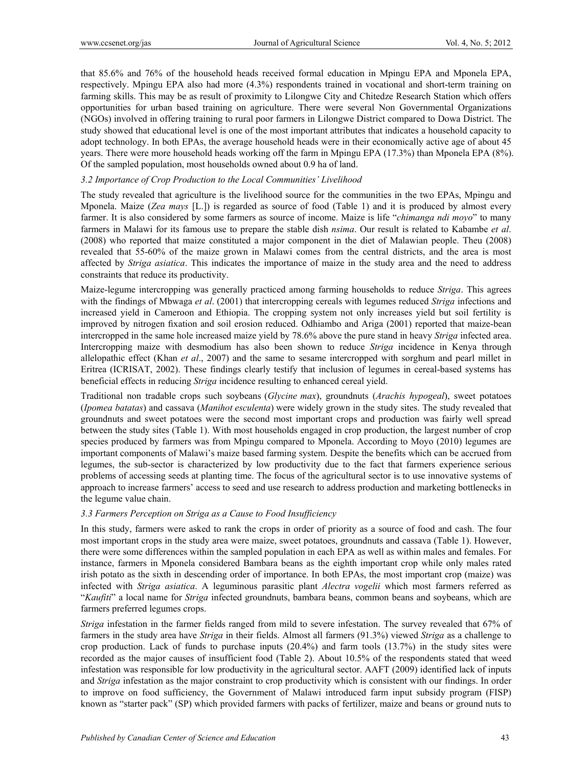that 85.6% and 76% of the household heads received formal education in Mpingu EPA and Mponela EPA, respectively. Mpingu EPA also had more (4.3%) respondents trained in vocational and short-term training on farming skills. This may be as result of proximity to Lilongwe City and Chitedze Research Station which offers opportunities for urban based training on agriculture. There were several Non Governmental Organizations (NGOs) involved in offering training to rural poor farmers in Lilongwe District compared to Dowa District. The study showed that educational level is one of the most important attributes that indicates a household capacity to adopt technology. In both EPAs, the average household heads were in their economically active age of about 45 years. There were more household heads working off the farm in Mpingu EPA (17.3%) than Mponela EPA (8%). Of the sampled population, most households owned about 0.9 ha of land.

## *3.2 Importance of Crop Production to the Local Communities' Livelihood*

The study revealed that agriculture is the livelihood source for the communities in the two EPAs, Mpingu and Mponela. Maize (*Zea mays* [L.]) is regarded as source of food (Table 1) and it is produced by almost every farmer. It is also considered by some farmers as source of income. Maize is life "*chimanga ndi moyo*" to many farmers in Malawi for its famous use to prepare the stable dish *nsima*. Our result is related to Kabambe *et al*. (2008) who reported that maize constituted a major component in the diet of Malawian people. Theu (2008) revealed that 55-60% of the maize grown in Malawi comes from the central districts, and the area is most affected by *Striga asiatica*. This indicates the importance of maize in the study area and the need to address constraints that reduce its productivity.

Maize-legume intercropping was generally practiced among farming households to reduce *Striga*. This agrees with the findings of Mbwaga *et al*. (2001) that intercropping cereals with legumes reduced *Striga* infections and increased yield in Cameroon and Ethiopia. The cropping system not only increases yield but soil fertility is improved by nitrogen fixation and soil erosion reduced. Odhiambo and Ariga (2001) reported that maize-bean intercropped in the same hole increased maize yield by 78.6% above the pure stand in heavy *Striga* infected area. Intercropping maize with desmodium has also been shown to reduce *Striga* incidence in Kenya through allelopathic effect (Khan *et al*., 2007) and the same to sesame intercropped with sorghum and pearl millet in Eritrea (ICRISAT, 2002). These findings clearly testify that inclusion of legumes in cereal-based systems has beneficial effects in reducing *Striga* incidence resulting to enhanced cereal yield.

Traditional non tradable crops such soybeans (*Glycine max*), groundnuts (*Arachis hypogeal*), sweet potatoes (*Ipomea batatas*) and cassava (*Manihot esculenta*) were widely grown in the study sites. The study revealed that groundnuts and sweet potatoes were the second most important crops and production was fairly well spread between the study sites (Table 1). With most households engaged in crop production, the largest number of crop species produced by farmers was from Mpingu compared to Mponela. According to Moyo (2010) legumes are important components of Malawi's maize based farming system. Despite the benefits which can be accrued from legumes, the sub-sector is characterized by low productivity due to the fact that farmers experience serious problems of accessing seeds at planting time. The focus of the agricultural sector is to use innovative systems of approach to increase farmers' access to seed and use research to address production and marketing bottlenecks in the legume value chain.

## *3.3 Farmers Perception on Striga as a Cause to Food Insufficiency*

In this study, farmers were asked to rank the crops in order of priority as a source of food and cash. The four most important crops in the study area were maize, sweet potatoes, groundnuts and cassava (Table 1). However, there were some differences within the sampled population in each EPA as well as within males and females. For instance, farmers in Mponela considered Bambara beans as the eighth important crop while only males rated irish potato as the sixth in descending order of importance. In both EPAs, the most important crop (maize) was infected with *Striga asiatica*. A leguminous parasitic plant *Alectra vogelii* which most farmers referred as "*Kaufiti*" a local name for *Striga* infected groundnuts, bambara beans, common beans and soybeans, which are farmers preferred legumes crops.

*Striga* infestation in the farmer fields ranged from mild to severe infestation. The survey revealed that 67% of farmers in the study area have *Striga* in their fields. Almost all farmers (91.3%) viewed *Striga* as a challenge to crop production. Lack of funds to purchase inputs (20.4%) and farm tools (13.7%) in the study sites were recorded as the major causes of insufficient food (Table 2). About 10.5% of the respondents stated that weed infestation was responsible for low productivity in the agricultural sector. AAFT (2009) identified lack of inputs and *Striga* infestation as the major constraint to crop productivity which is consistent with our findings. In order to improve on food sufficiency, the Government of Malawi introduced farm input subsidy program (FISP) known as "starter pack" (SP) which provided farmers with packs of fertilizer, maize and beans or ground nuts to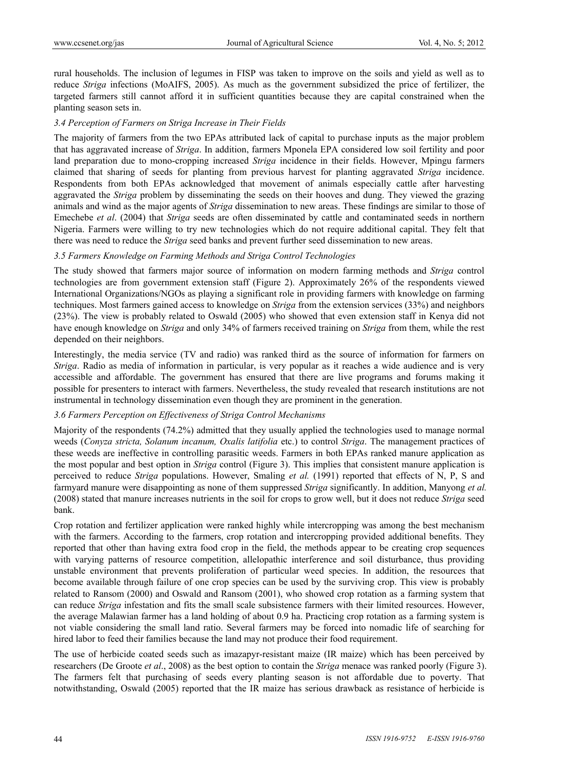rural households. The inclusion of legumes in FISP was taken to improve on the soils and yield as well as to reduce *Striga* infections (MoAIFS, 2005). As much as the government subsidized the price of fertilizer, the targeted farmers still cannot afford it in sufficient quantities because they are capital constrained when the planting season sets in.

#### *3.4 Perception of Farmers on Striga Increase in Their Fields*

The majority of farmers from the two EPAs attributed lack of capital to purchase inputs as the major problem that has aggravated increase of *Striga*. In addition, farmers Mponela EPA considered low soil fertility and poor land preparation due to mono-cropping increased *Striga* incidence in their fields. However, Mpingu farmers claimed that sharing of seeds for planting from previous harvest for planting aggravated *Striga* incidence. Respondents from both EPAs acknowledged that movement of animals especially cattle after harvesting aggravated the *Striga* problem by disseminating the seeds on their hooves and dung. They viewed the grazing animals and wind as the major agents of *Striga* dissemination to new areas. These findings are similar to those of Emechebe *et al*. (2004) that *Striga* seeds are often disseminated by cattle and contaminated seeds in northern Nigeria. Farmers were willing to try new technologies which do not require additional capital. They felt that there was need to reduce the *Striga* seed banks and prevent further seed dissemination to new areas.

# *3.5 Farmers Knowledge on Farming Methods and Striga Control Technologies*

The study showed that farmers major source of information on modern farming methods and *Striga* control technologies are from government extension staff (Figure 2). Approximately 26% of the respondents viewed International Organizations/NGOs as playing a significant role in providing farmers with knowledge on farming techniques. Most farmers gained access to knowledge on *Striga* from the extension services (33%) and neighbors (23%). The view is probably related to Oswald (2005) who showed that even extension staff in Kenya did not have enough knowledge on *Striga* and only 34% of farmers received training on *Striga* from them, while the rest depended on their neighbors.

Interestingly, the media service (TV and radio) was ranked third as the source of information for farmers on *Striga*. Radio as media of information in particular, is very popular as it reaches a wide audience and is very accessible and affordable. The government has ensured that there are live programs and forums making it possible for presenters to interact with farmers. Nevertheless, the study revealed that research institutions are not instrumental in technology dissemination even though they are prominent in the generation.

## *3.6 Farmers Perception on Effectiveness of Striga Control Mechanisms*

Majority of the respondents (74.2%) admitted that they usually applied the technologies used to manage normal weeds (*Conyza stricta, Solanum incanum, Oxalis latifolia* etc.) to control *Striga*. The management practices of these weeds are ineffective in controlling parasitic weeds. Farmers in both EPAs ranked manure application as the most popular and best option in *Striga* control (Figure 3). This implies that consistent manure application is perceived to reduce *Striga* populations. However, Smaling *et al.* (1991) reported that effects of N, P, S and farmyard manure were disappointing as none of them suppressed *Striga* significantly. In addition, Manyong *et al.* (2008) stated that manure increases nutrients in the soil for crops to grow well, but it does not reduce *Striga* seed bank.

Crop rotation and fertilizer application were ranked highly while intercropping was among the best mechanism with the farmers. According to the farmers, crop rotation and intercropping provided additional benefits. They reported that other than having extra food crop in the field, the methods appear to be creating crop sequences with varying patterns of resource competition, allelopathic interference and soil disturbance, thus providing unstable environment that prevents proliferation of particular weed species. In addition, the resources that become available through failure of one crop species can be used by the surviving crop. This view is probably related to Ransom (2000) and Oswald and Ransom (2001), who showed crop rotation as a farming system that can reduce *Striga* infestation and fits the small scale subsistence farmers with their limited resources. However, the average Malawian farmer has a land holding of about 0.9 ha. Practicing crop rotation as a farming system is not viable considering the small land ratio. Several farmers may be forced into nomadic life of searching for hired labor to feed their families because the land may not produce their food requirement.

The use of herbicide coated seeds such as imazapyr-resistant maize (IR maize) which has been perceived by researchers (De Groote *et al*., 2008) as the best option to contain the *Striga* menace was ranked poorly (Figure 3). The farmers felt that purchasing of seeds every planting season is not affordable due to poverty. That notwithstanding, Oswald (2005) reported that the IR maize has serious drawback as resistance of herbicide is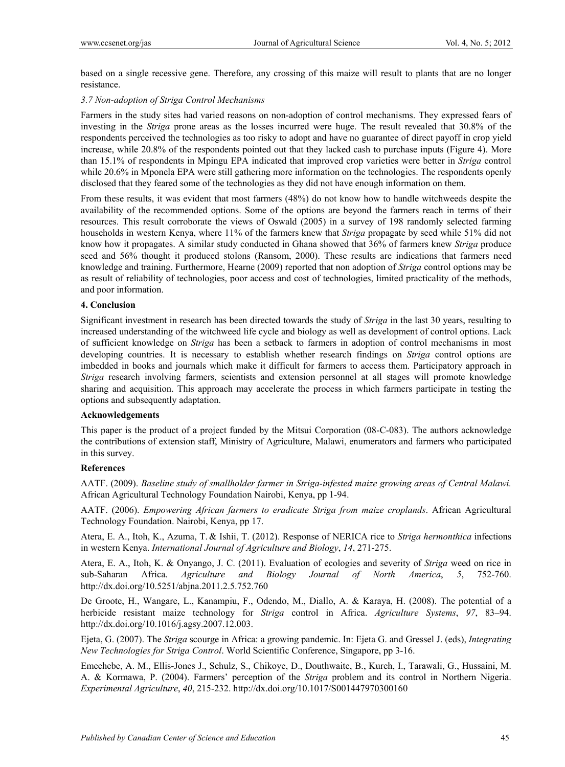based on a single recessive gene. Therefore, any crossing of this maize will result to plants that are no longer resistance.

## *3.7 Non-adoption of Striga Control Mechanisms*

Farmers in the study sites had varied reasons on non-adoption of control mechanisms. They expressed fears of investing in the *Striga* prone areas as the losses incurred were huge. The result revealed that 30.8% of the respondents perceived the technologies as too risky to adopt and have no guarantee of direct payoff in crop yield increase, while 20.8% of the respondents pointed out that they lacked cash to purchase inputs (Figure 4). More than 15.1% of respondents in Mpingu EPA indicated that improved crop varieties were better in *Striga* control while 20.6% in Mponela EPA were still gathering more information on the technologies. The respondents openly disclosed that they feared some of the technologies as they did not have enough information on them.

From these results, it was evident that most farmers (48%) do not know how to handle witchweeds despite the availability of the recommended options. Some of the options are beyond the farmers reach in terms of their resources. This result corroborate the views of Oswald (2005) in a survey of 198 randomly selected farming households in western Kenya, where 11% of the farmers knew that *Striga* propagate by seed while 51% did not know how it propagates. A similar study conducted in Ghana showed that 36% of farmers knew *Striga* produce seed and 56% thought it produced stolons (Ransom, 2000). These results are indications that farmers need knowledge and training. Furthermore, Hearne (2009) reported that non adoption of *Striga* control options may be as result of reliability of technologies, poor access and cost of technologies, limited practicality of the methods, and poor information.

## **4. Conclusion**

Significant investment in research has been directed towards the study of *Striga* in the last 30 years, resulting to increased understanding of the witchweed life cycle and biology as well as development of control options. Lack of sufficient knowledge on *Striga* has been a setback to farmers in adoption of control mechanisms in most developing countries. It is necessary to establish whether research findings on *Striga* control options are imbedded in books and journals which make it difficult for farmers to access them. Participatory approach in *Striga* research involving farmers, scientists and extension personnel at all stages will promote knowledge sharing and acquisition. This approach may accelerate the process in which farmers participate in testing the options and subsequently adaptation.

## **Acknowledgements**

This paper is the product of a project funded by the Mitsui Corporation (08-C-083). The authors acknowledge the contributions of extension staff, Ministry of Agriculture, Malawi, enumerators and farmers who participated in this survey.

## **References**

AATF. (2009). *Baseline study of smallholder farmer in Striga-infested maize growing areas of Central Malawi.*  African Agricultural Technology Foundation Nairobi, Kenya, pp 1-94.

AATF. (2006). *Empowering African farmers to eradicate Striga from maize croplands*. African Agricultural Technology Foundation. Nairobi, Kenya, pp 17.

Atera, E. A., Itoh, K., Azuma, T. & Ishii, T. (2012). Response of NERICA rice to *Striga hermonthica* infections in western Kenya. *International Journal of Agriculture and Biology*, *14*, 271-275.

Atera, E. A., Itoh, K. & Onyango, J. C. (2011). Evaluation of ecologies and severity of *Striga* weed on rice in sub-Saharan Africa. *Agriculture and Biology Journal of North America*, *5*, 752-760. http://dx.doi.org/10.5251/abjna.2011.2.5.752.760

De Groote, H., Wangare, L., Kanampiu, F., Odendo, M., Diallo, A. & Karaya, H. (2008). The potential of a herbicide resistant maize technology for *Striga* control in Africa. *Agriculture Systems*, *97*, 83–94. http://dx.doi.org/10.1016/j.agsy.2007.12.003.

Ejeta, G. (2007). The *Striga* scourge in Africa: a growing pandemic. In: Ejeta G. and Gressel J. (eds), *Integrating New Technologies for Striga Control*. World Scientific Conference, Singapore, pp 3-16.

Emechebe, A. M., Ellis-Jones J., Schulz, S., Chikoye, D., Douthwaite, B., Kureh, I., Tarawali, G., Hussaini, M. A. & Kormawa, P. (2004). Farmers' perception of the *Striga* problem and its control in Northern Nigeria. *Experimental Agriculture*, *40*, 215-232. http://dx.doi.org/10.1017/S001447970300160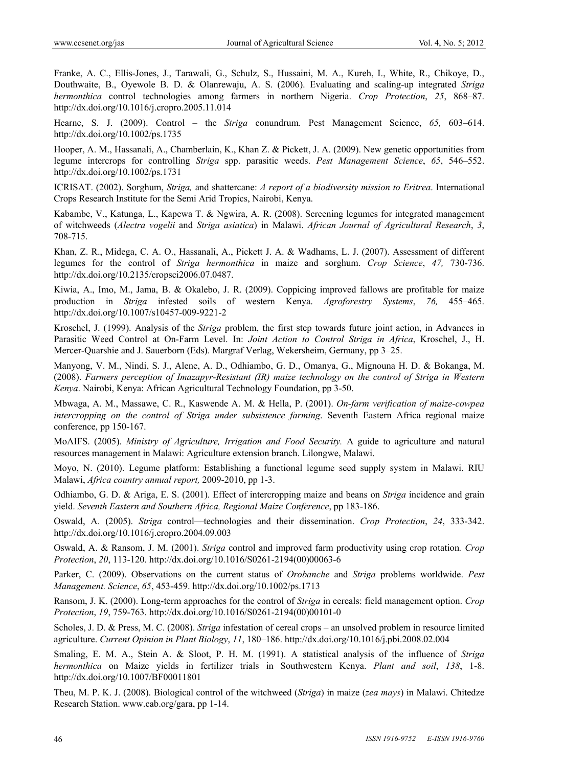Franke, A. C., Ellis-Jones, J., Tarawali, G., Schulz, S., Hussaini, M. A., Kureh, I., White, R., Chikoye, D., Douthwaite, B., Oyewole B. D. & Olanrewaju, A. S. (2006). Evaluating and scaling-up integrated *Striga hermonthica* control technologies among farmers in northern Nigeria. *Crop Protection*, *25*, 868–87. http://dx.doi.org/10.1016/j.cropro.2005.11.014

Hearne, S. J. (2009). Control – the *Striga* conundrum*.* Pest Management Science, *65,* 603–614. http://dx.doi.org/10.1002/ps.1735

Hooper, A. M., Hassanali, A., Chamberlain, K., Khan Z. & Pickett, J. A. (2009). New genetic opportunities from legume intercrops for controlling *Striga* spp. parasitic weeds. *Pest Management Science*, *65*, 546–552. http://dx.doi.org/10.1002/ps.1731

ICRISAT. (2002). Sorghum, *Striga,* and shattercane: *A report of a biodiversity mission to Eritrea*. International Crops Research Institute for the Semi Arid Tropics, Nairobi, Kenya.

Kabambe, V., Katunga, L., Kapewa T. & Ngwira, A. R. (2008). Screening legumes for integrated management of witchweeds (*Alectra vogelii* and *Striga asiatica*) in Malawi. *African Journal of Agricultural Research*, *3*, 708-715.

Khan, Z. R., Midega, C. A. O., Hassanali, A., Pickett J. A. & Wadhams, L. J. (2007). Assessment of different legumes for the control of *Striga hermonthica* in maize and sorghum. *Crop Science*, *47,* 730-736. http://dx.doi.org/10.2135/cropsci2006.07.0487.

Kiwia, A., Imo, M., Jama, B. & Okalebo, J. R. (2009). Coppicing improved fallows are profitable for maize production in *Striga* infested soils of western Kenya. *Agroforestry Systems*, *76,* 455–465. http://dx.doi.org/10.1007/s10457-009-9221-2

Kroschel, J. (1999). Analysis of the *Striga* problem, the first step towards future joint action, in Advances in Parasitic Weed Control at On-Farm Level. In: *Joint Action to Control Striga in Africa*, Kroschel, J., H. Mercer-Quarshie and J. Sauerborn (Eds). Margraf Verlag, Wekersheim, Germany, pp 3–25.

Manyong, V. M., Nindi, S. J., Alene, A. D., Odhiambo, G. D., Omanya, G., Mignouna H. D. & Bokanga, M. (2008). *Farmers perception of Imazapyr-Resistant (IR) maize technology on the control of Striga in Western Kenya*. Nairobi, Kenya: African Agricultural Technology Foundation, pp 3-50.

Mbwaga, A. M., Massawe, C. R., Kaswende A. M. & Hella, P. (2001). *On-farm verification of maize-cowpea intercropping on the control of Striga under subsistence farming*. Seventh Eastern Africa regional maize conference, pp 150-167.

MoAIFS. (2005). *Ministry of Agriculture, Irrigation and Food Security.* A guide to agriculture and natural resources management in Malawi: Agriculture extension branch. Lilongwe, Malawi.

Moyo, N. (2010). Legume platform: Establishing a functional legume seed supply system in Malawi. RIU Malawi, *Africa country annual report,* 2009-2010, pp 1-3.

Odhiambo, G. D. & Ariga, E. S. (2001). Effect of intercropping maize and beans on *Striga* incidence and grain yield. *Seventh Eastern and Southern Africa, Regional Maize Conference*, pp 183-186.

Oswald, A. (2005). *Striga* control—technologies and their dissemination. *Crop Protection*, *24*, 333-342. http://dx.doi.org/10.1016/j.cropro.2004.09.003

Oswald, A. & Ransom, J. M. (2001). *Striga* control and improved farm productivity using crop rotation*. Crop Protection*, *20*, 113-120. http://dx.doi.org/10.1016/S0261-2194(00)00063-6

Parker, C. (2009). Observations on the current status of *Orobanche* and *Striga* problems worldwide. *Pest Management. Science*, *65*, 453-459. http://dx.doi.org/10.1002/ps.1713

Ransom, J. K. (2000). Long-term approaches for the control of *Striga* in cereals: field management option. *Crop Protection*, *19*, 759-763. http://dx.doi.org/10.1016/S0261-2194(00)00101-0

Scholes, J. D. & Press, M. C. (2008). *Striga* infestation of cereal crops – an unsolved problem in resource limited agriculture. *Current Opinion in Plant Biology*, *11*, 180–186. http://dx.doi.org/10.1016/j.pbi.2008.02.004

Smaling, E. M. A., Stein A. & Sloot, P. H. M. (1991). A statistical analysis of the influence of *Striga hermonthica* on Maize yields in fertilizer trials in Southwestern Kenya. *Plant and soil*, *138*, 1-8. http://dx.doi.org/10.1007/BF00011801

Theu, M. P. K. J. (2008). Biological control of the witchweed (*Striga*) in maize (*zea mays*) in Malawi. Chitedze Research Station. www.cab.org/gara, pp 1-14.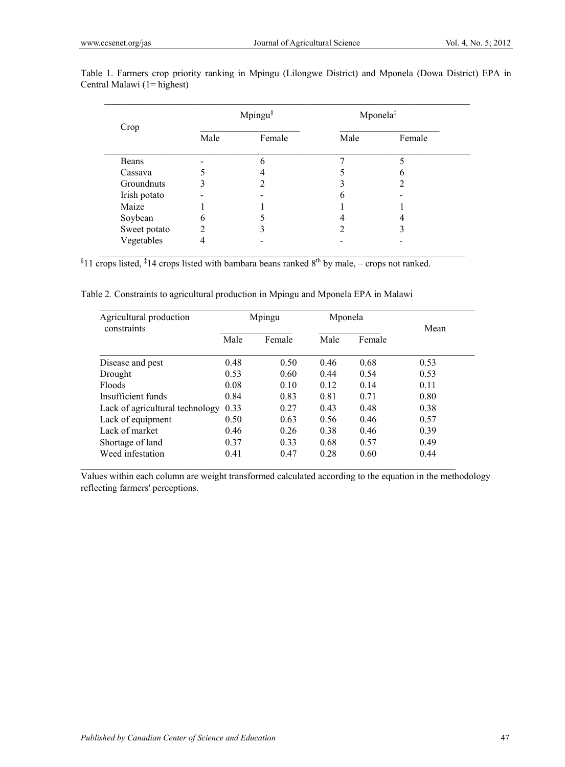| Crop         | Mpingu $\delta$ |        | Mponela <sup>‡</sup> |        |
|--------------|-----------------|--------|----------------------|--------|
|              | Male            | Female | Male                 | Female |
| Beans        |                 |        |                      |        |
| Cassava      |                 |        |                      |        |
| Groundnuts   |                 |        |                      |        |
| Irish potato |                 |        | 6                    |        |
| Maize        |                 |        |                      |        |
| Soybean      | 6               |        |                      |        |
| Sweet potato | ↑               |        |                      |        |
| Vegetables   |                 |        |                      |        |

Table 1. Farmers crop priority ranking in Mpingu (Lilongwe District) and Mponela (Dowa District) EPA in Central Malawi (1= highest)

 $\_$  , and the set of the set of the set of the set of the set of the set of the set of the set of the set of the set of the set of the set of the set of the set of the set of the set of the set of the set of the set of th

 $11$  crops listed, <sup>‡</sup>14 crops listed with bambara beans ranked  $8<sup>th</sup>$  by male, – crops not ranked.

Table 2*.* Constraints to agricultural production in Mpingu and Mponela EPA in Malawi

| Agricultural production         | Mpingu |        | Mponela |        |      |
|---------------------------------|--------|--------|---------|--------|------|
| constraints                     | Male   | Female | Male    | Female | Mean |
| Disease and pest                | 0.48   | 0.50   | 0.46    | 0.68   | 0.53 |
| Drought                         | 0.53   | 0.60   | 0.44    | 0.54   | 0.53 |
| Floods                          | 0.08   | 0.10   | 0.12    | 0.14   | 0.11 |
| Insufficient funds              | 0.84   | 0.83   | 0.81    | 0.71   | 0.80 |
| Lack of agricultural technology | 0.33   | 0.27   | 0.43    | 0.48   | 0.38 |
| Lack of equipment               | 0.50   | 0.63   | 0.56    | 0.46   | 0.57 |
| Lack of market                  | 0.46   | 0.26   | 0.38    | 0.46   | 0.39 |
| Shortage of land                | 0.37   | 0.33   | 0.68    | 0.57   | 0.49 |
| Weed infestation                | 0.41   | 0.47   | 0.28    | 0.60   | 0.44 |

Values within each column are weight transformed calculated according to the equation in the methodology reflecting farmers' perceptions.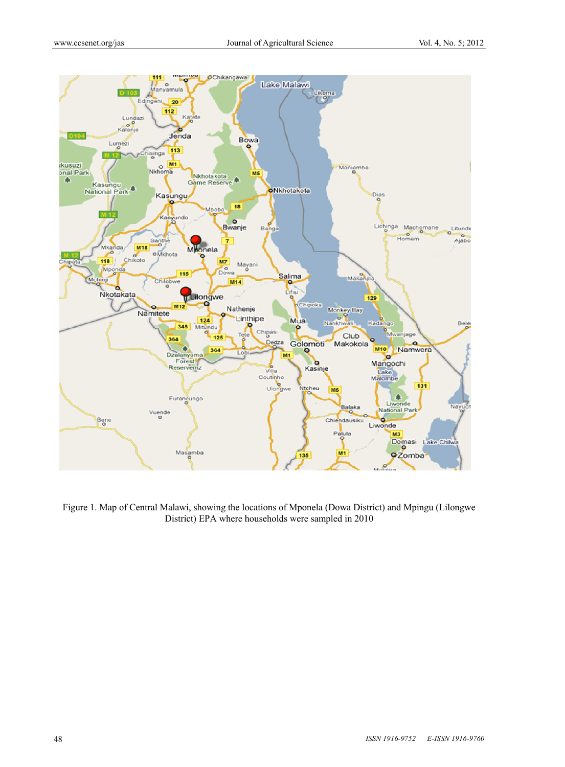

Figure 1. Map of Central Malawi, showing the locations of Mponela (Dowa District) and Mpingu (Lilongwe District) EPA where households were sampled in 2010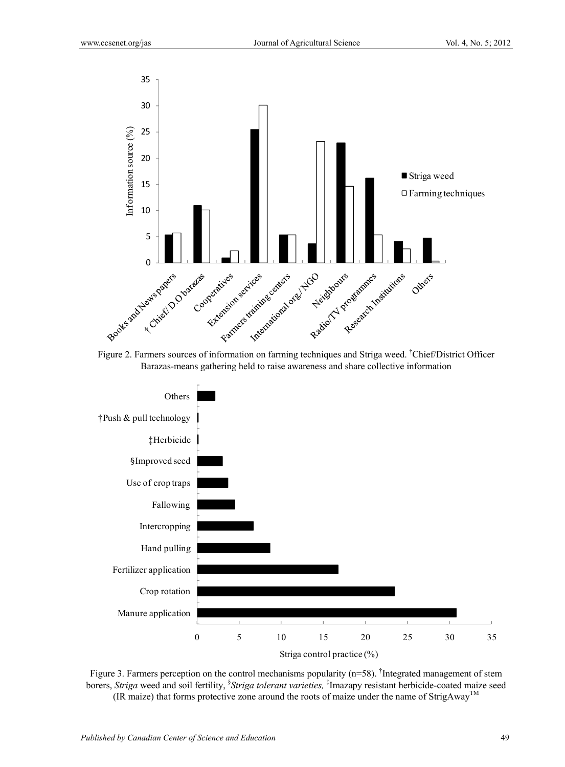

Figure 2. Farmers sources of information on farming techniques and Striga weed. <sup>†</sup>Chief/District Officer Barazas-means gathering held to raise awareness and share collective information



Figure 3. Farmers perception on the control mechanisms popularity (n=58). The egrated management of stem borers, *Striga* weed and soil fertility, § *Striga tolerant varieties,* ‡ Imazapy resistant herbicide-coated maize seed (IR maize) that forms protective zone around the roots of maize under the name of  $StringAway^{TM}$